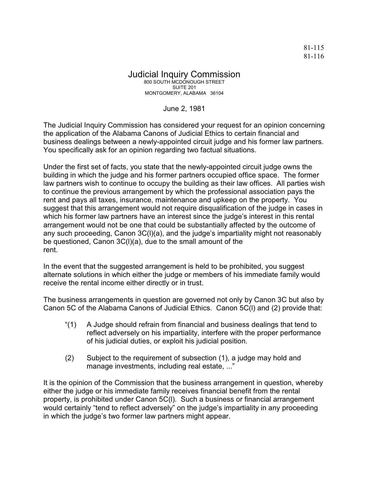## Judicial Inquiry Commission 800 SOUTH MCDONOUGH STREET

SUITE 201 MONTGOMERY, ALABAMA 36104

June 2, 1981

The Judicial Inquiry Commission has considered your request for an opinion concerning the application of the Alabama Canons of Judicial Ethics to certain financial and business dealings between a newly-appointed circuit judge and his former law partners. You specifically ask for an opinion regarding two factual situations.

Under the first set of facts, you state that the newly-appointed circuit judge owns the building in which the judge and his former partners occupied office space. The former law partners wish to continue to occupy the building as their law offices. All parties wish to continue the previous arrangement by which the professional association pays the rent and pays all taxes, insurance, maintenance and upkeep on the property. You suggest that this arrangement would not require disqualification of the judge in cases in which his former law partners have an interest since the judge's interest in this rental arrangement would not be one that could be substantially affected by the outcome of any such proceeding, Canon 3C(l)(a), and the judge's impartiality might not reasonably be questioned, Canon 3C(l)(a), due to the small amount of the rent.

In the event that the suggested arrangement is held to be prohibited, you suggest alternate solutions in which either the judge or members of his immediate family would receive the rental income either directly or in trust.

The business arrangements in question are governed not only by Canon 3C but also by Canon 5C of the Alabama Canons of Judicial Ethics. Canon 5C(l) and (2) provide that:

- "(1) A Judge should refrain from financial and business dealings that tend to reflect adversely on his impartiality, interfere with the proper performance of his judicial duties, or exploit his judicial position.
- (2) Subject to the requirement of subsection (1), a judge may hold and manage investments, including real estate, ..."

It is the opinion of the Commission that the business arrangement in question, whereby either the judge or his immediate family receives financial benefit from the rental property, is prohibited under Canon 5C(l). Such a business or financial arrangement would certainly "tend to reflect adversely" on the judge's impartiality in any proceeding in which the judge's two former law partners might appear.